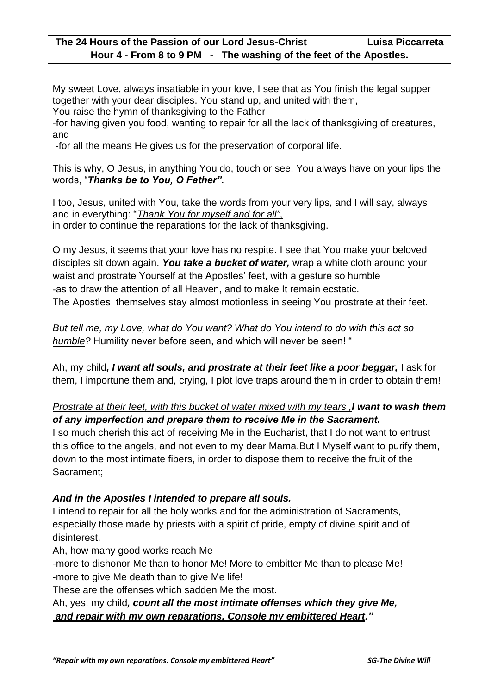My sweet Love, always insatiable in your love, I see that as You finish the legal supper together with your dear disciples. You stand up, and united with them,

You raise the hymn of thanksgiving to the Father

-for having given you food, wanting to repair for all the lack of thanksgiving of creatures, and

-for all the means He gives us for the preservation of corporal life.

This is why, O Jesus, in anything You do, touch or see, You always have on your lips the words, "*Thanks be to You, O Father".*

I too, Jesus, united with You, take the words from your very lips, and I will say, always and in everything: "*Thank You for myself and for all"*, in order to continue the reparations for the lack of thanksgiving.

O my Jesus, it seems that your love has no respite. I see that You make your beloved disciples sit down again. *You take a bucket of water,* wrap a white cloth around your waist and prostrate Yourself at the Apostles' feet, with a gesture so humble -as to draw the attention of all Heaven, and to make It remain ecstatic.

The Apostles themselves stay almost motionless in seeing You prostrate at their feet.

*But tell me, my Love, what do You want? What do You intend to do with this act so humble?* Humility never before seen, and which will never be seen! "

Ah, my child*, I want all souls, and prostrate at their feet like a poor beggar,* I ask for them, I importune them and, crying, I plot love traps around them in order to obtain them!

## *Prostrate at their feet, with this bucket of water mixed with my tears ,I want to wash them of any imperfection and prepare them to receive Me in the Sacrament.*

I so much cherish this act of receiving Me in the Eucharist, that I do not want to entrust this office to the angels, and not even to my dear Mama.But I Myself want to purify them, down to the most intimate fibers, in order to dispose them to receive the fruit of the Sacrament;

## *And in the Apostles I intended to prepare all souls.*

I intend to repair for all the holy works and for the administration of Sacraments, especially those made by priests with a spirit of pride, empty of divine spirit and of disinterest.

Ah, how many good works reach Me

-more to dishonor Me than to honor Me! More to embitter Me than to please Me! -more to give Me death than to give Me life!

These are the offenses which sadden Me the most.

Ah, yes, my child*, count all the most intimate offenses which they give Me, and repair with my own reparations. Console my embittered Heart."*